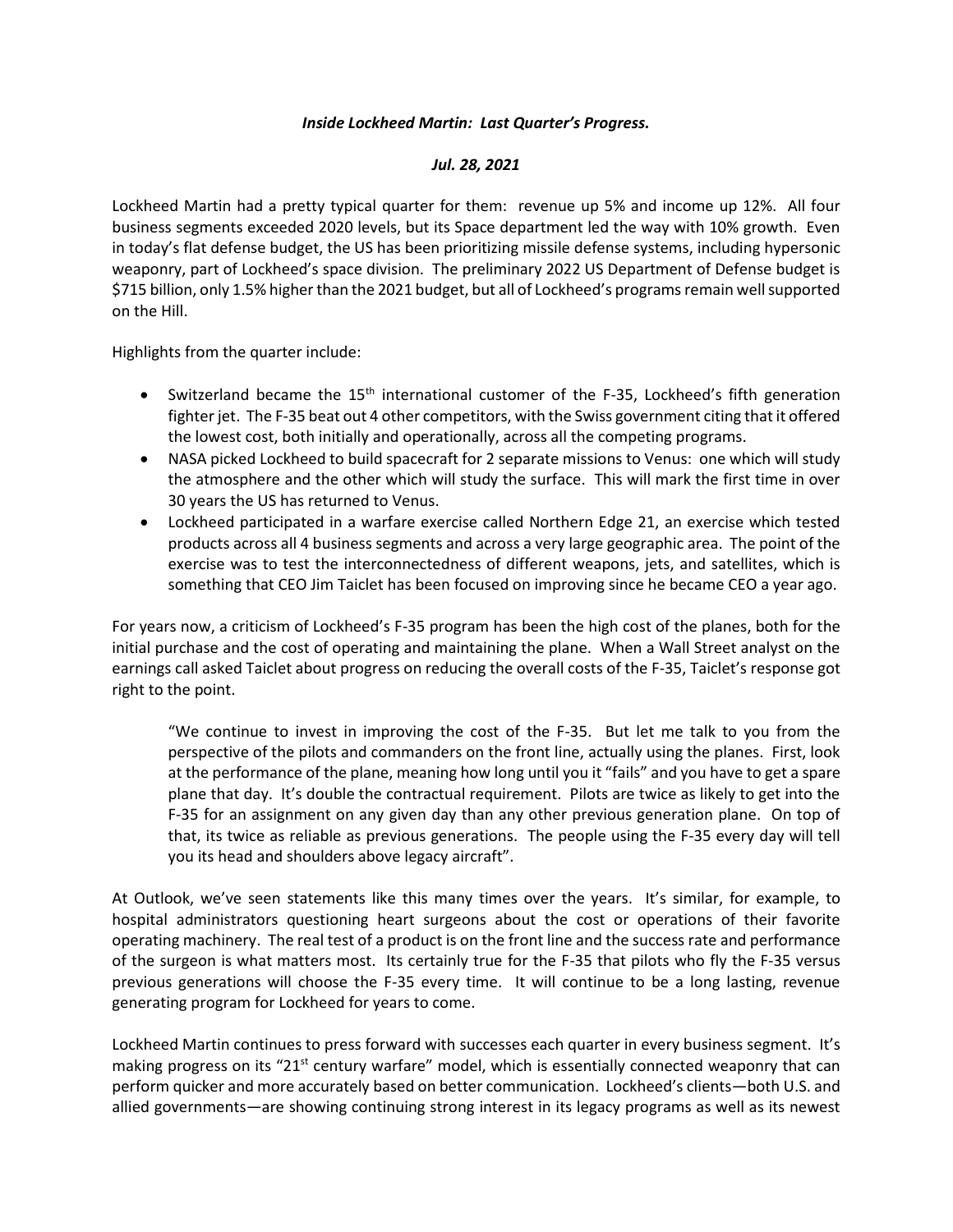## *Inside Lockheed Martin: Last Quarter's Progress.*

## *Jul. 28, 2021*

Lockheed Martin had a pretty typical quarter for them: revenue up 5% and income up 12%. All four business segments exceeded 2020 levels, but its Space department led the way with 10% growth. Even in today's flat defense budget, the US has been prioritizing missile defense systems, including hypersonic weaponry, part of Lockheed's space division. The preliminary 2022 US Department of Defense budget is \$715 billion, only 1.5% higher than the 2021 budget, but all of Lockheed's programs remain well supported on the Hill.

Highlights from the quarter include:

- Switzerland became the 15<sup>th</sup> international customer of the F-35, Lockheed's fifth generation fighter jet. The F-35 beat out 4 other competitors, with the Swiss government citing that it offered the lowest cost, both initially and operationally, across all the competing programs.
- NASA picked Lockheed to build spacecraft for 2 separate missions to Venus: one which will study the atmosphere and the other which will study the surface. This will mark the first time in over 30 years the US has returned to Venus.
- Lockheed participated in a warfare exercise called Northern Edge 21, an exercise which tested products across all 4 business segments and across a very large geographic area. The point of the exercise was to test the interconnectedness of different weapons, jets, and satellites, which is something that CEO Jim Taiclet has been focused on improving since he became CEO a year ago.

For years now, a criticism of Lockheed's F-35 program has been the high cost of the planes, both for the initial purchase and the cost of operating and maintaining the plane. When a Wall Street analyst on the earnings call asked Taiclet about progress on reducing the overall costs of the F-35, Taiclet's response got right to the point.

"We continue to invest in improving the cost of the F-35. But let me talk to you from the perspective of the pilots and commanders on the front line, actually using the planes. First, look at the performance of the plane, meaning how long until you it "fails" and you have to get a spare plane that day. It's double the contractual requirement. Pilots are twice as likely to get into the F-35 for an assignment on any given day than any other previous generation plane. On top of that, its twice as reliable as previous generations. The people using the F-35 every day will tell you its head and shoulders above legacy aircraft".

At Outlook, we've seen statements like this many times over the years. It's similar, for example, to hospital administrators questioning heart surgeons about the cost or operations of their favorite operating machinery. The real test of a product is on the front line and the success rate and performance of the surgeon is what matters most. Its certainly true for the F-35 that pilots who fly the F-35 versus previous generations will choose the F-35 every time. It will continue to be a long lasting, revenue generating program for Lockheed for years to come.

Lockheed Martin continues to press forward with successes each quarter in every business segment. It's making progress on its "21<sup>st</sup> century warfare" model, which is essentially connected weaponry that can perform quicker and more accurately based on better communication. Lockheed's clients—both U.S. and allied governments—are showing continuing strong interest in its legacy programs as well as its newest